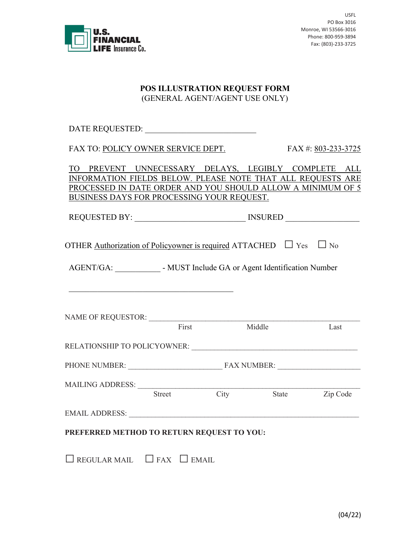

USFL PO Box 3016 Monroe, WI 53566-3016 Phone: 800-959-3894 Fax: (803)-233-3725

## **POS ILLUSTRATION REQUEST FORM** (GENERAL AGENT/AGENT USE ONLY)

DATE REQUESTED:

FAX TO: POLICY OWNER SERVICE DEPT. FAX #: 803-233-3725

TO PREVENT UNNECESSARY DELAYS, LEGIBLY COMPLETE ALL INFORMATION FIELDS BELOW. PLEASE NOTE THAT ALL REQUESTS ARE PROCESSED IN DATE ORDER AND YOU SHOULD ALLOW A MINIMUM OF 5 BUSINESS DAYS FOR PROCESSING YOUR REQUEST.

| <b>REQUESTED BY:</b> |
|----------------------|
|----------------------|

OTHER Authorization of Policyowner is required ATTACHED  $\Box$  Yes  $\Box$  No

AGENT/GA: • MUST Include GA or Agent Identification Number

| <b>NAME OF REQUESTOR:</b>           |               |      |                    |          |
|-------------------------------------|---------------|------|--------------------|----------|
|                                     | First         |      | Middle             | Last     |
| <b>RELATIONSHIP TO POLICYOWNER:</b> |               |      |                    |          |
| PHONE NUMBER:                       |               |      | <b>FAX NUMBER:</b> |          |
| <b>MAILING ADDRESS:</b>             |               |      |                    |          |
|                                     | <b>Street</b> | City | <b>State</b>       | Zip Code |
| <b>EMAIL ADDRESS:</b>               |               |      |                    |          |

## **PREFERRED METHOD TO RETURN REQUEST TO YOU:**

 $\Box$  REGULAR MAIL  $\Box$  FAX  $\Box$  EMAIL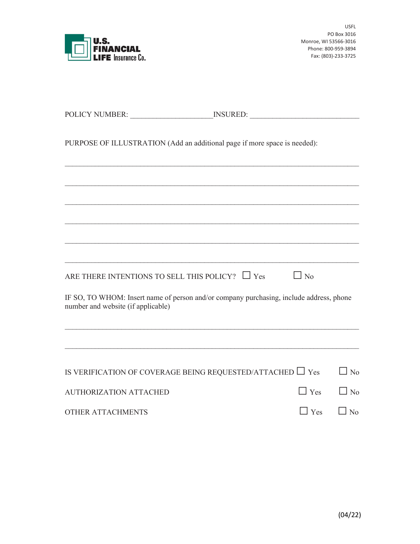

USFL PO Box 3016 Monroe, WI 53566-3016 Phone: 800-959-3894 Fax: (803)-233-3725

|                                                      | PURPOSE OF ILLUSTRATION (Add an additional page if more space is needed):               |            |           |
|------------------------------------------------------|-----------------------------------------------------------------------------------------|------------|-----------|
|                                                      |                                                                                         |            |           |
|                                                      |                                                                                         |            |           |
|                                                      |                                                                                         |            |           |
|                                                      |                                                                                         |            |           |
| ARE THERE INTENTIONS TO SELL THIS POLICY? $\Box$ Yes |                                                                                         | $\Box$ No  |           |
| number and website (if applicable)                   | IF SO, TO WHOM: Insert name of person and/or company purchasing, include address, phone |            |           |
|                                                      |                                                                                         |            |           |
|                                                      | IS VERIFICATION OF COVERAGE BEING REQUESTED/ATTACHED $\Box$ Yes                         |            | $\Box$ No |
| <b>AUTHORIZATION ATTACHED</b>                        |                                                                                         | $\Box$ Yes | $\Box$ No |
| <b>OTHER ATTACHMENTS</b>                             |                                                                                         | $\Box$ Yes | $\Box$ No |